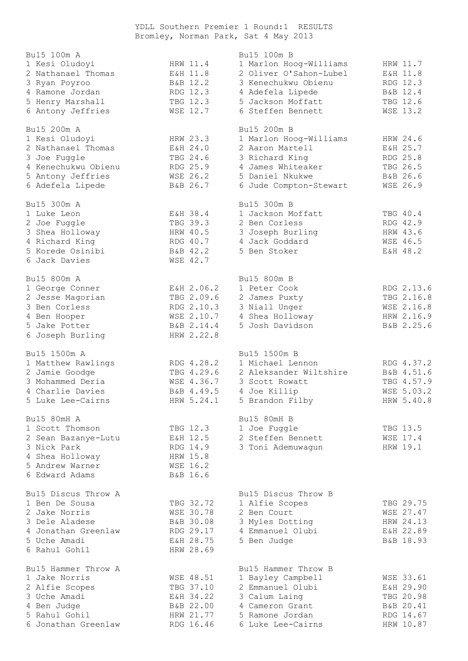YDLL Southern Premier 1 Round:1 RESULTS Bromley, Norman Park, Sat 4 May 2013

| Bu15 100m A         |                 | Bu15 100m B            |                 |
|---------------------|-----------------|------------------------|-----------------|
| 1 Kesi Oludoyi      | HRW 11.4        | 1 Marlon Hoog-Williams | HRW 11.7        |
| 2 Nathanael Thomas  | E&H 11.8        | 2 Oliver O'Sahon-Lubel | E&H 11.8        |
| 3 Ryan Poyroo       | B&B 12.2        | 3 Kenechukwu Obienu    | RDG 12.3        |
| 4 Ramone Jordan     | RDG 12.3        | 4 Adefela Lipede       | B&B 12.4        |
| 5 Henry Marshall    | TBG 12.3        | 5 Jackson Moffatt      | TBG 12.6        |
| 6 Antony Jeffries   | WSE 12.7        | 6 Steffen Bennett      | <b>WSE 13.2</b> |
| Bu15 200m A         |                 | Bu15 200m B            |                 |
| 1 Kesi Oludoyi      | HRW 23.3        | 1 Marlon Hoog-Williams | HRW 24.6        |
| 2 Nathanael Thomas  | E&H 24.0        | 2 Aaron Martell        | E&H 25.7        |
| 3 Joe Fuggle        | TBG 24.6        | 3 Richard King         | RDG 25.8        |
| 4 Kenechukwu Obienu | RDG 25.9        | 4 James Whiteaker      | TBG 26.5        |
| 5 Antony Jeffries   | WSE 26.2        | 5 Daniel Nkukwe        | B&B 26.6        |
| 6 Adefela Lipede    | B&B 26.7        | 6 Jude Compton-Stewart | WSE 26.9        |
| Bu15 300m A         |                 | Bu15 300m B            |                 |
| 1 Luke Leon         | E&H 38.4        | 1 Jackson Moffatt      | TBG 40.4        |
| 2 Joe Fuggle        | TBG 39.3        | 2 Ben Corless          | RDG 42.9        |
| 3 Shea Holloway     | HRW 40.5        | 3 Joseph Burling       | HRW 43.6        |
| 4 Richard King      | RDG 40.7        | 4 Jack Goddard         | WSE 46.5        |
| 5 Korede Osinibi    | B&B 42.2        | 5 Ben Stoker           | E&H 48.2        |
| 6 Jack Davies       | WSE 42.7        |                        |                 |
| Bu15 800m A         |                 | Bu15 800m B            |                 |
| 1 George Conner     | E&H 2.06.2      | 1 Peter Cook           | RDG 2.13.6      |
| 2 Jesse Magorian    | TBG 2.09.6      | 2 James Puxty          | TBG 2.16.8      |
| 3 Ben Corless       | RDG 2.10.3      | 3 Niall Unger          | WSE 2.16.8      |
| 4 Ben Hooper        | WSE 2.10.7      | 4 Shea Holloway        | HRW 2.16.9      |
| 5 Jake Potter       | B&B 2.14.4      | 5 Josh Davidson        | B&B 2.25.6      |
| 6 Joseph Burling    | HRW 2.22.8      |                        |                 |
| Bu15 1500m A        |                 | Bu15 1500m B           |                 |
| 1 Matthew Rawlings  | RDG 4.28.2      | 1 Michael Lennon       | RDG 4.37.2      |
| 2 Jamie Goodge      | TBG 4.29.6      | 2 Aleksander Wiltshire | B&B 4.51.6      |
| 3 Mohammed Deria    | WSE 4.36.7      | 3 Scott Rowatt         | TBG 4.57.9      |
| 4 Charlie Davies    | B&B 4.49.5      | 4 Joe Killip           | WSE 5.03.2      |
| 5 Luke Lee-Cairns   | HRW 5.24.1      | 5 Brandon Filby        | HRW 5.40.8      |
| Bu15 80mH A         |                 | Bu15 80mH B            |                 |
| 1 Scott Thomson     | TBG 12.3        | 1 Joe Fuggle           | TBG 13.5        |
| 2 Sean Bazanye-Lutu | E&H 12.5        | 2 Steffen Bennett      | WSE 17.4        |
| 3 Nick Park         | RDG 14.9        | 3 Toni Ademuwagun      | HRW 19.1        |
| 4 Shea Holloway     | HRW 15.8        |                        |                 |
| 5 Andrew Warner     | <b>WSE 16.2</b> |                        |                 |
| 6 Edward Adams      | B&B 16.6        |                        |                 |
| Bu15 Discus Throw A |                 | Bu15 Discus Throw B    |                 |
| 1 Ben De Sousa      | TBG 32.72       | 1 Alfie Scopes         | TBG 29.75       |
| 2 Jake Norris       | WSE 30.78       | 2 Ben Court            | WSE 27.47       |
| 3 Dele Aladese      | B&B 30.08       | 3 Myles Dotting        | HRW 24.13       |
| 4 Jonathan Greenlaw | RDG 29.17       | 4 Emmanuel Olubi       | E&H 22.89       |
| 5 Uche Amadi        | E&H 28.75       | 5 Ben Judge            | B&B 18.93       |
| 6 Rahul Gohil       | HRW 28.69       |                        |                 |
| Bu15 Hammer Throw A |                 | Bu15 Hammer Throw B    |                 |
| 1 Jake Norris       | WSE 48.51       | 1 Bayley Campbell      | WSE 33.61       |
| 2 Alfie Scopes      | TBG 37.10       | 2 Emmanuel Olubi       | E&H 29.90       |
| 3 Uche Amadi        | E&H 34.22       | 3 Calum Laing          | TBG 20.98       |
| 4 Ben Judge         | B&B 22.00       | 4 Cameron Grant        | B&B 20.41       |
| 5 Rahul Gohil       | HRW 21.77       | 5 Ramone Jordan        | RDG 14.67       |
| 6 Jonathan Greenlaw | RDG 16.46       | 6 Luke Lee-Cairns      | HRW 10.87       |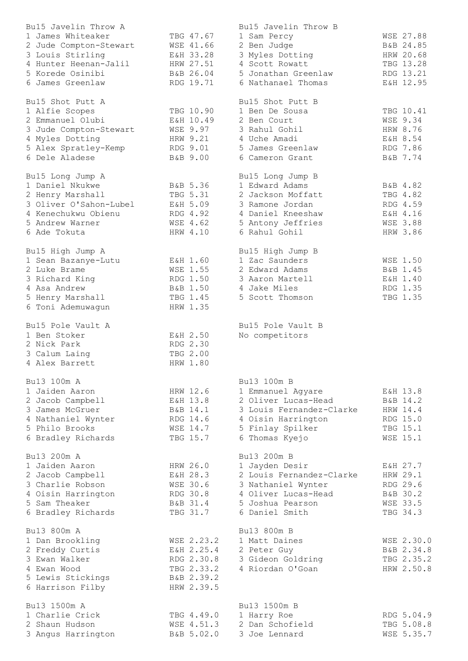| Bu15 Javelin Throw A   |            | Bu15 Javelin Throw B     |                 |
|------------------------|------------|--------------------------|-----------------|
| 1 James Whiteaker      | TBG 47.67  | 1 Sam Percy              | WSE 27.88       |
| 2 Jude Compton-Stewart | WSE 41.66  | 2 Ben Judge              | B&B 24.85       |
| 3 Louis Stirling       | E&H 33.28  | 3 Myles Dotting          | HRW 20.68       |
| 4 Hunter Heenan-Jalil  | HRW 27.51  | 4 Scott Rowatt           | TBG 13.28       |
| 5 Korede Osinibi       | B&B 26.04  | 5 Jonathan Greenlaw      | RDG 13.21       |
| 6 James Greenlaw       | RDG 19.71  | 6 Nathanael Thomas       | E&H 12.95       |
| Bu15 Shot Putt A       |            | Bu15 Shot Putt B         |                 |
|                        | TBG 10.90  | 1 Ben De Sousa           | TBG 10.41       |
| 1 Alfie Scopes         |            |                          |                 |
| 2 Emmanuel Olubi       | E&H 10.49  | 2 Ben Court              | <b>WSE 9.34</b> |
| 3 Jude Compton-Stewart | WSE 9.97   | 3 Rahul Gohil            | HRW 8.76        |
| 4 Myles Dotting        | HRW 9.21   | 4 Uche Amadi             | E&H 8.54        |
| 5 Alex Spratley-Kemp   | RDG 9.01   | 5 James Greenlaw         | RDG 7.86        |
| 6 Dele Aladese         | B&B 9.00   | 6 Cameron Grant          | B&B 7.74        |
| Bu15 Long Jump A       |            | Bu15 Long Jump B         |                 |
| 1 Daniel Nkukwe        | B&B 5.36   | 1 Edward Adams           | B&B 4.82        |
| 2 Henry Marshall       | TBG 5.31   | 2 Jackson Moffatt        | TBG 4.82        |
| 3 Oliver O'Sahon-Lubel | E&H 5.09   | 3 Ramone Jordan          | RDG 4.59        |
| 4 Kenechukwu Obienu    | RDG 4.92   | 4 Daniel Kneeshaw        | E&H 4.16        |
| 5 Andrew Warner        | WSE 4.62   | 5 Antony Jeffries        | <b>WSE 3.88</b> |
| 6 Ade Tokuta           | HRW 4.10   | 6 Rahul Gohil            | HRW 3.86        |
|                        |            |                          |                 |
| Bu15 High Jump A       |            | Bu15 High Jump B         |                 |
| 1 Sean Bazanye-Lutu    | E&H 1.60   | 1 Zac Saunders           | WSE 1.50        |
| 2 Luke Brame           | WSE 1.55   | 2 Edward Adams           | B&B 1.45        |
| 3 Richard King         | RDG 1.50   | 3 Aaron Martell          | E&H 1.40        |
| 4 Asa Andrew           | B&B 1.50   | 4 Jake Miles             | RDG 1.35        |
| 5 Henry Marshall       | TBG 1.45   | 5 Scott Thomson          | TBG 1.35        |
| 6 Toni Ademuwagun      | HRW 1.35   |                          |                 |
| Bu15 Pole Vault A      |            | Bu15 Pole Vault B        |                 |
| 1 Ben Stoker           | E&H 2.50   | No competitors           |                 |
| 2 Nick Park            | RDG 2.30   |                          |                 |
| 3 Calum Laing          | TBG 2.00   |                          |                 |
| 4 Alex Barrett         | HRW 1.80   |                          |                 |
|                        |            |                          |                 |
| Bu13 100m A            |            | Bu13 100m B              |                 |
| 1 Jaiden Aaron         | HRW 12.6   | 1 Emmanuel Agyare        | E&H 13.8        |
| 2 Jacob Campbell       | E&H 13.8   | 2 Oliver Lucas-Head      | B&B 14.2        |
| 3 James McGruer        | B&B 14.1   | 3 Louis Fernandez-Clarke | HRW 14.4        |
| 4 Nathaniel Wynter     | RDG 14.6   | 4 Oisin Harrington       | RDG 15.0        |
| 5 Philo Brooks         | WSE 14.7   | 5 Finlay Spilker         | TBG 15.1        |
| 6 Bradley Richards     | TBG 15.7   | 6 Thomas Kyejo           | <b>WSE 15.1</b> |
| Bu13 200m A            |            | Bu13 200m B              |                 |
| 1 Jaiden Aaron         | HRW 26.0   | 1 Jayden Desir           | E&H 27.7        |
| 2 Jacob Campbell       | E&H 28.3   | 2 Louis Fernandez-Clarke | HRW 29.1        |
| 3 Charlie Robson       | WSE 30.6   | 3 Nathaniel Wynter       | RDG 29.6        |
| 4 Oisin Harrington     | RDG 30.8   | 4 Oliver Lucas-Head      | B&B 30.2        |
| 5 Sam Theaker          | B&B 31.4   | 5 Joshua Pearson         | <b>WSE 33.5</b> |
| 6 Bradley Richards     | TBG 31.7   | 6 Daniel Smith           | TBG 34.3        |
|                        |            |                          |                 |
| Bu13 800m A            |            | Bu13 800m B              |                 |
| 1 Dan Brookling        | WSE 2.23.2 | 1 Matt Daines            | WSE 2.30.0      |
| 2 Freddy Curtis        | E&H 2.25.4 | 2 Peter Guy              | B&B 2.34.8      |
| 3 Ewan Walker          | RDG 2.30.8 | 3 Gideon Goldring        | TBG 2.35.2      |
| 4 Ewan Wood            | TBG 2.33.2 | 4 Riordan O'Goan         | HRW 2.50.8      |
| 5 Lewis Stickings      | B&B 2.39.2 |                          |                 |
| 6 Harrison Filby       | HRW 2.39.5 |                          |                 |
| Bu13 1500m A           |            | Bu13 1500m B             |                 |
| 1 Charlie Crick        | TBG 4.49.0 | 1 Harry Roe              | RDG 5.04.9      |
| 2 Shaun Hudson         | WSE 4.51.3 | 2 Dan Schofield          | TBG 5.08.8      |
| 3 Angus Harrington     | B&B 5.02.0 | 3 Joe Lennard            | WSE 5.35.7      |
|                        |            |                          |                 |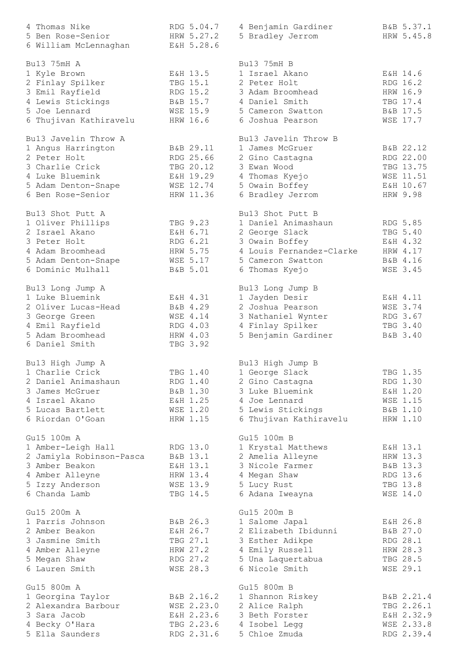| 4 Thomas Nike                  | RDG 5.04.7           | 4 Benjamin Gardiner                 | B&B 5.37.1                  |
|--------------------------------|----------------------|-------------------------------------|-----------------------------|
| 5 Ben Rose-Senior              | HRW 5.27.2           | 5 Bradley Jerrom                    | HRW 5.45.8                  |
| 6 William McLennaghan          | E&H 5.28.6           |                                     |                             |
|                                |                      |                                     |                             |
| Bu13 75mH A                    |                      | Bu13 75mH B                         |                             |
| 1 Kyle Brown                   | E&H 13.5             | 1 Israel Akano                      | E&H 14.6                    |
| 2 Finlay Spilker               | TBG 15.1             | 2 Peter Holt                        | RDG 16.2                    |
| 3 Emil Rayfield                | RDG 15.2             | 3 Adam Broomhead                    | HRW 16.9                    |
| 4 Lewis Stickings              | B&B 15.7             | 4 Daniel Smith                      | TBG 17.4                    |
| 5 Joe Lennard                  | WSE 15.9             | 5 Cameron Swatton                   | B&B 17.5                    |
| 6 Thujivan Kathiravelu         | HRW 16.6             | 6 Joshua Pearson                    | WSE 17.7                    |
| Bu13 Javelin Throw A           |                      | Bu13 Javelin Throw B                |                             |
| 1 Angus Harrington             | B&B 29.11            | 1 James McGruer                     | B&B 22.12                   |
| 2 Peter Holt                   | RDG 25.66            | 2 Gino Castagna                     | RDG 22.00                   |
| 3 Charlie Crick                | TBG 20.12            | 3 Ewan Wood                         | TBG 13.75                   |
| 4 Luke Bluemink                | E&H 19.29            | 4 Thomas Kyejo                      | WSE 11.51                   |
| 5 Adam Denton-Snape            | WSE 12.74            | 5 Owain Boffey                      | E&H 10.67                   |
| 6 Ben Rose-Senior              | HRW 11.36            | 6 Bradley Jerrom                    | HRW 9.98                    |
|                                |                      |                                     |                             |
| Bu13 Shot Putt A               |                      | Bu13 Shot Putt B                    |                             |
| 1 Oliver Phillips              | TBG 9.23             | 1 Daniel Animashaun                 | RDG 5.85                    |
| 2 Israel Akano                 | E&H 6.71             | 2 George Slack                      | TBG 5.40                    |
| 3 Peter Holt                   | RDG 6.21             | 3 Owain Boffey                      | E&H 4.32                    |
| 4 Adam Broomhead               | HRW 5.75             | 4 Louis Fernandez-Clarke            | HRW 4.17                    |
| 5 Adam Denton-Snape            | <b>WSE 5.17</b>      | 5 Cameron Swatton                   | B&B 4.16                    |
| 6 Dominic Mulhall              | B&B 5.01             | 6 Thomas Kyejo                      | WSE 3.45                    |
| Bu13 Long Jump A               |                      | Bu13 Long Jump B                    |                             |
| 1 Luke Bluemink                | E&H 4.31             | 1 Jayden Desir                      | E&H 4.11                    |
| 2 Oliver Lucas-Head            | B&B 4.29             | 2 Joshua Pearson                    | WSE 3.74                    |
| 3 George Green                 | WSE 4.14             | 3 Nathaniel Wynter                  | RDG 3.67                    |
| 4 Emil Rayfield                | RDG 4.03             | 4 Finlay Spilker                    | TBG 3.40                    |
| 5 Adam Broomhead               | HRW 4.03             | 5 Benjamin Gardiner                 | B&B 3.40                    |
| 6 Daniel Smith                 | TBG 3.92             |                                     |                             |
|                                |                      |                                     |                             |
| Bu13 High Jump A               |                      | Bu13 High Jump B                    |                             |
| 1 Charlie Crick                | TBG 1.40             | 1 George Slack                      | TBG 1.35                    |
| 2 Daniel Animashaun            | RDG 1.40             | 2 Gino Castagna                     | RDG 1.30                    |
| 3 James McGruer                | B&B 1.30             | 3 Luke Bluemink                     | E&H 1.20                    |
| 4 Israel Akano                 | E&H 1.25             | 4 Joe Lennard                       | WSE 1.15                    |
| 5 Lucas Bartlett               | WSE 1.20             | 5 Lewis Stickings B&B 1.10          |                             |
| 6 Riordan O'Goan               | HRW 1.15             | 6 Thujivan Kathiravelu              | HRW 1.10                    |
| Gu15 100m A                    |                      | Gu15 100m B                         |                             |
| 1 Amber-Leigh Hall             | RDG 13.0             | 1 Krystal Matthews                  | E&H 13.1                    |
| 2 Jamiyla Robinson-Pasca       | B&B 13.1             | 2 Amelia Alleyne                    | HRW 13.3                    |
| 3 Amber Beakon                 | E&H 13.1             | 3 Nicole Farmer                     | B&B 13.3                    |
| 4 Amber Alleyne                | HRW 13.4             | 4 Megan Shaw                        | RDG 13.6                    |
| 5 Izzy Anderson                | WSE 13.9             | 5 Lucy Rust                         | TBG 13.8                    |
| 6 Chanda Lamb                  | TBG 14.5             | 6 Adana Iweayna                     | WSE 14.0                    |
|                                |                      |                                     |                             |
| Gu15 200m A                    |                      | Gu15 200m B                         |                             |
| 1 Parris Johnson               | B&B 26.3             | 1 Salome Japal                      | E&H 26.8                    |
| 2 Amber Beakon                 | E&H 26.7             | 2 Elizabeth Ibidunni                | B&B 27.0                    |
| 3 Jasmine Smith                | TBG 27.1             | 3 Esther Adikpe                     | RDG 28.1                    |
| 4 Amber Alleyne                | HRW 27.2             | 4 Emily Russell                     | HRW 28.3                    |
| 5 Megan Shaw<br>6 Lauren Smith | RDG 27.2<br>WSE 28.3 | 5 Una Laquertabua<br>6 Nicole Smith | TBG 28.5<br><b>WSE 29.1</b> |
|                                |                      |                                     |                             |
| Gu15 800m A                    |                      | Gu15 800m B                         |                             |
| 1 Georgina Taylor              | B&B 2.16.2           | 1 Shannon Riskey                    | B&B 2.21.4                  |
| 2 Alexandra Barbour            | WSE 2.23.0           | 2 Alice Ralph                       | TBG 2.26.1                  |
| 3 Sara Jacob                   | E&H 2.23.6           | 3 Beth Forster                      | E&H 2.32.9                  |
| 4 Becky O'Hara                 | TBG 2.23.6           | 4 Isobel Legg                       | WSE 2.33.8                  |
| 5 Ella Saunders                | RDG 2.31.6           | 5 Chloe Zmuda                       | RDG 2.39.4                  |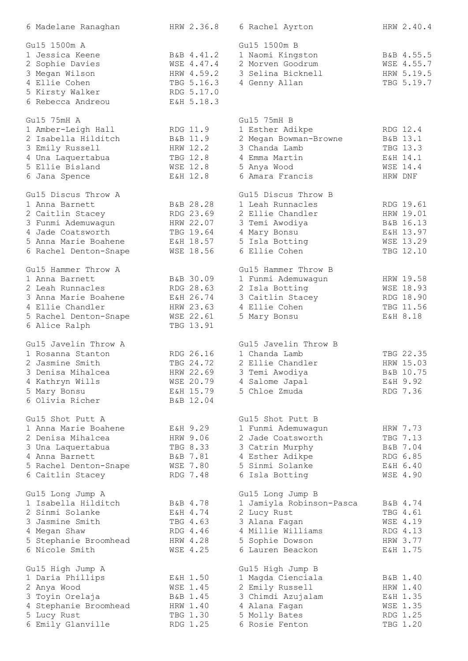| 6 Madelane Ranaghan                     | HRW 2.36.8           | 6 Rachel Ayrton                     | HRW 2.40.4           |
|-----------------------------------------|----------------------|-------------------------------------|----------------------|
| Gu15 1500m A                            |                      | Gu15 1500m B                        |                      |
| 1 Jessica Keene                         | B&B 4.41.2           | 1 Naomi Kingston                    | B&B 4.55.5           |
| 2 Sophie Davies                         | WSE 4.47.4           | 2 Morven Goodrum                    | WSE 4.55.7           |
| 3 Megan Wilson                          | HRW 4.59.2           | 3 Selina Bicknell                   | HRW 5.19.5           |
| 4 Ellie Cohen                           | TBG 5.16.3           | 4 Genny Allan                       | TBG 5.19.7           |
|                                         |                      |                                     |                      |
| 5 Kirsty Walker                         | RDG 5.17.0           |                                     |                      |
| 6 Rebecca Andreou                       | E&H 5.18.3           |                                     |                      |
| Gu15 75mH A                             |                      | Gu15 75mH B                         |                      |
| 1 Amber-Leigh Hall                      | RDG 11.9             | 1 Esther Adikpe                     | RDG 12.4             |
| 2 Isabella Hilditch                     | B&B 11.9             | 2 Megan Bowman-Browne               | B&B 13.1             |
| 3 Emily Russell                         | HRW 12.2             | 3 Chanda Lamb                       | TBG 13.3             |
| 4 Una Laquertabua                       | TBG 12.8             | 4 Emma Martin                       | E&H 14.1             |
| 5 Ellie Bisland                         | <b>WSE 12.8</b>      | 5 Anya Wood                         | WSE 14.4             |
|                                         | E&H 12.8             | 6 Amara Francis                     | HRW DNF              |
| 6 Jana Spence                           |                      |                                     |                      |
| Gu15 Discus Throw A                     |                      | Gu15 Discus Throw B                 |                      |
| 1 Anna Barnett                          | B&B 28.28            | 1 Leah Runnacles                    | RDG 19.61            |
| 2 Caitlin Stacey                        | RDG 23.69            | 2 Ellie Chandler                    | HRW 19.01            |
| 3 Funmi Ademuwagun                      | HRW 22.07            | 3 Temi Awodiya                      | B&B 16.13            |
| 4 Jade Coatsworth                       | TBG 19.64            | 4 Mary Bonsu                        | E&H 13.97            |
| 5 Anna Marie Boahene                    | E&H 18.57            | 5 Isla Botting                      | WSE 13.29            |
| 6 Rachel Denton-Snape                   | WSE 18.56            | 6 Ellie Cohen                       | TBG 12.10            |
|                                         |                      |                                     |                      |
| Gu15 Hammer Throw A                     |                      | Gu15 Hammer Throw B                 |                      |
| 1 Anna Barnett                          | B&B 30.09            | 1 Funmi Ademuwagun                  | HRW 19.58            |
| 2 Leah Runnacles                        | RDG 28.63            | 2 Isla Botting                      | WSE 18.93            |
| 3 Anna Marie Boahene                    | E&H 26.74            | 3 Caitlin Stacey                    | RDG 18.90            |
| 4 Ellie Chandler                        | HRW 23.63            | 4 Ellie Cohen                       | TBG 11.56            |
| 5 Rachel Denton-Snape                   | WSE 22.61            | 5 Mary Bonsu                        | E&H 8.18             |
| 6 Alice Ralph                           | TBG 13.91            |                                     |                      |
| Gu15 Javelin Throw A                    |                      | Gu15 Javelin Throw B                |                      |
| 1 Rosanna Stanton                       | RDG 26.16            | 1 Chanda Lamb                       | TBG 22.35            |
|                                         |                      |                                     |                      |
| 2 Jasmine Smith                         | TBG 24.72            | 2 Ellie Chandler                    | HRW 15.03            |
| 3 Denisa Mihalcea                       | HRW 22.69            | 3 Temi Awodiya                      | B&B 10.75            |
| 4 Kathryn Wills                         | WSE 20.79            | 4 Salome Japal                      | E&H 9.92             |
| 5 Mary Bonsu                            | E&H 15.79            | 5 Chloe Zmuda                       | RDG 7.36             |
| 6 Olivia Richer                         | B&B 12.04            |                                     |                      |
| Gu15 Shot Putt A                        |                      | Gu15 Shot Putt B                    |                      |
| 1 Anna Marie Boahene                    | E&H 9.29             | 1 Funmi Ademuwagun                  | HRW 7.73             |
| 2 Denisa Mihalcea                       | HRW 9.06             | 2 Jade Coatsworth                   | TBG 7.13             |
| 3 Una Laquertabua                       | TBG 8.33             | 3 Catrin Murphy                     | B&B 7.04             |
| 4 Anna Barnett                          | B&B 7.81             |                                     | RDG 6.85             |
|                                         |                      | 4 Esther Adikpe                     |                      |
| 5 Rachel Denton-Snape                   | <b>WSE 7.80</b>      | 5 Sinmi Solanke                     | E&H 6.40             |
| 6 Caitlin Stacey                        | RDG 7.48             | 6 Isla Botting                      | WSE 4.90             |
| Gu15 Long Jump A                        |                      | Gu15 Long Jump B                    |                      |
| 1 Isabella Hilditch                     | B&B 4.78             | 1 Jamiyla Robinson-Pasca            | B&B 4.74             |
| 2 Sinmi Solanke                         | E&H 4.74             | 2 Lucy Rust                         | TBG 4.61             |
| 3 Jasmine Smith                         | TBG 4.63             | 3 Alana Fagan                       | WSE 4.19             |
| 4 Megan Shaw                            | RDG 4.46             | 4 Millie Williams                   | RDG 4.13             |
|                                         |                      |                                     |                      |
| 5 Stephanie Broomhead<br>6 Nicole Smith | HRW 4.28<br>WSE 4.25 | 5 Sophie Dowson<br>6 Lauren Beackon | HRW 3.77<br>E&H 1.75 |
|                                         |                      |                                     |                      |
| Gu15 High Jump A                        |                      | Gu15 High Jump B                    |                      |
| 1 Daria Phillips                        | E&H 1.50             | 1 Magda Cienciala                   | B&B 1.40             |
| 2 Anya Wood                             | WSE 1.45             | 2 Emily Russell                     | HRW 1.40             |
| 3 Toyin Orelaja                         | B&B 1.45             | 3 Chimdi Azujalam                   | E&H 1.35             |
| 4 Stephanie Broomhead                   | HRW 1.40             | 4 Alana Fagan                       | WSE 1.35             |
| 5 Lucy Rust                             | TBG 1.30             | 5 Molly Bates                       | RDG 1.25             |
| 6 Emily Glanville                       | RDG 1.25             | 6 Rosie Fenton                      | TBG 1.20             |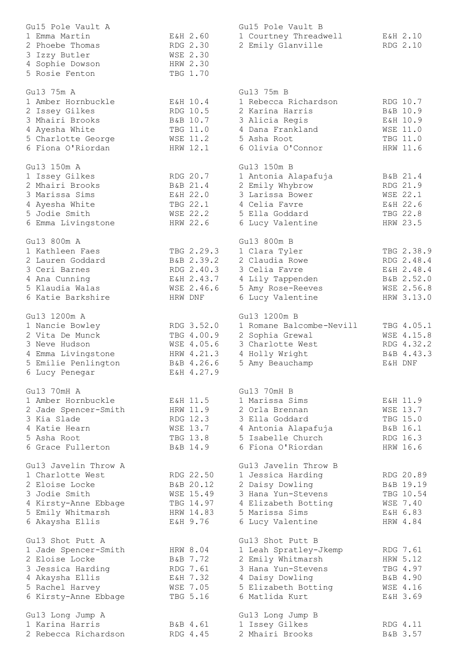| Gu15 Pole Vault A    |                 | Gu15 Pole Vault B        |                 |
|----------------------|-----------------|--------------------------|-----------------|
| 1 Emma Martin        | E&H 2.60        | 1 Courtney Threadwell    | E&H 2.10        |
| 2 Phoebe Thomas      | RDG 2.30        | 2 Emily Glanville        | RDG 2.10        |
| 3 Izzy Butler        | WSE 2.30        |                          |                 |
| 4 Sophie Dowson      | HRW 2.30        |                          |                 |
| 5 Rosie Fenton       | TBG 1.70        |                          |                 |
|                      |                 |                          |                 |
| Gu13 75m A           |                 | Gu13 75m B               |                 |
| 1 Amber Hornbuckle   | E&H 10.4        | 1 Rebecca Richardson     | RDG 10.7        |
| 2 Issey Gilkes       | RDG 10.5        | 2 Karina Harris          | B&B 10.9        |
| 3 Mhairi Brooks      | B&B 10.7        | 3 Alicia Regis           | E&H 10.9        |
| 4 Ayesha White       | TBG 11.0        | 4 Dana Frankland         | <b>WSE 11.0</b> |
| 5 Charlotte George   | <b>WSE 11.2</b> | 5 Asha Root              | TBG 11.0        |
| 6 Fiona O'Riordan    | HRW 12.1        | 6 Olivia O'Connor        | HRW 11.6        |
|                      |                 |                          |                 |
| Gu13 150m A          |                 | Gu13 150m B              |                 |
| 1 Issey Gilkes       | RDG 20.7        | 1 Antonia Alapafuja      | B&B 21.4        |
| 2 Mhairi Brooks      | B&B 21.4        | 2 Emily Whybrow          | RDG 21.9        |
| 3 Marissa Sims       | E&H 22.0        | 3 Larissa Bower          | WSE 22.1        |
| 4 Ayesha White       | TBG 22.1        | 4 Celia Favre            | E&H 22.6        |
| 5 Jodie Smith        | WSE 22.2        | 5 Ella Goddard           | TBG 22.8        |
| 6 Emma Livingstone   | HRW 22.6        | 6 Lucy Valentine         | HRW 23.5        |
|                      |                 |                          |                 |
| Gu13 800m A          |                 | Gu13 800m B              |                 |
| 1 Kathleen Faes      | TBG 2.29.3      | 1 Clara Tyler            | TBG 2.38.9      |
| 2 Lauren Goddard     | B&B 2.39.2      | 2 Claudia Rowe           | RDG 2.48.4      |
| 3 Ceri Barnes        | RDG 2.40.3      | 3 Celia Favre            | E&H 2.48.4      |
| 4 Ana Cunning        | E&H 2.43.7      | 4 Lily Tappenden         | B&B 2.52.0      |
| 5 Klaudia Walas      | WSE 2.46.6      | 5 Amy Rose-Reeves        | WSE 2.56.8      |
| 6 Katie Barkshire    | HRW DNF         | 6 Lucy Valentine         | HRW 3.13.0      |
|                      |                 |                          |                 |
| Gu13 1200m A         |                 | Gu13 1200m B             |                 |
| 1 Nancie Bowley      | RDG 3.52.0      | 1 Romane Balcombe-Nevill | TBG 4.05.1      |
| 2 Vita De Munck      | TBG 4.00.9      | 2 Sophia Grewal          | WSE 4.15.8      |
| 3 Neve Hudson        | WSE 4.05.6      | 3 Charlotte West         | RDG 4.32.2      |
| 4 Emma Livingstone   | HRW 4.21.3      | 4 Holly Wright           | B&B 4.43.3      |
| 5 Emilie Penlington  | B&B 4.26.6      | 5 Amy Beauchamp          | E&H DNF         |
| 6 Lucy Penegar       | E&H 4.27.9      |                          |                 |
|                      |                 |                          |                 |
| Gu13 70mH A          |                 | Gu13 70mH B              |                 |
| 1 Amber Hornbuckle   | E&H 11.5        | 1 Marissa Sims           | E&H 11.9        |
| 2 Jade Spencer-Smith | HRW 11.9        | 2 Orla Brennan           | WSE 13.7        |
| 3 Kia Slade          | RDG 12.3        | 3 Ella Goddard           | TBG 15.0        |
| 4 Katie Hearn        | WSE 13.7        | 4 Antonia Alapafuja      | B&B 16.1        |
| 5 Asha Root          | TBG 13.8        | 5 Isabelle Church        | RDG 16.3        |
| 6 Grace Fullerton    | B&B 14.9        | 6 Fiona O'Riordan        | HRW 16.6        |
|                      |                 |                          |                 |
| Gu13 Javelin Throw A |                 | Gul3 Javelin Throw B     |                 |
| 1 Charlotte West     | RDG 22.50       | 1 Jessica Harding        | RDG 20.89       |
| 2 Eloise Locke       | B&B 20.12       | 2 Daisy Dowling          | B&B 19.19       |
| 3 Jodie Smith        | WSE 15.49       | 3 Hana Yun-Stevens       | TBG 10.54       |
| 4 Kirsty-Anne Ebbage | TBG 14.97       | 4 Elizabeth Botting      | WSE 7.40        |
| 5 Emily Whitmarsh    | HRW 14.83       | 5 Marissa Sims           | E&H 6.83        |
| 6 Akaysha Ellis      | E&H 9.76        | 6 Lucy Valentine         | HRW 4.84        |
|                      |                 |                          |                 |
| Gu13 Shot Putt A     |                 | Gu13 Shot Putt B         |                 |
| 1 Jade Spencer-Smith | HRW 8.04        | 1 Leah Spratley-Jkemp    | RDG 7.61        |
| 2 Eloise Locke       | B&B 7.72        | 2 Emily Whitmarsh        | HRW 5.12        |
| 3 Jessica Harding    | RDG 7.61        | 3 Hana Yun-Stevens       | TBG 4.97        |
| 4 Akaysha Ellis      | E&H 7.32        | 4 Daisy Dowling          | B&B 4.90        |
| 5 Rachel Harvey      | WSE 7.05        | 5 Elizabeth Botting      | WSE 4.16        |
| 6 Kirsty-Anne Ebbage | TBG 5.16        | 6 Matlida Kurt           | E&H 3.69        |
|                      |                 |                          |                 |
| Gu13 Long Jump A     |                 | Gu13 Long Jump B         |                 |
| 1 Karina Harris      | B&B 4.61        | 1 Issey Gilkes           | RDG 4.11        |
| 2 Rebecca Richardson | RDG 4.45        | 2 Mhairi Brooks          | B&B 3.57        |
|                      |                 |                          |                 |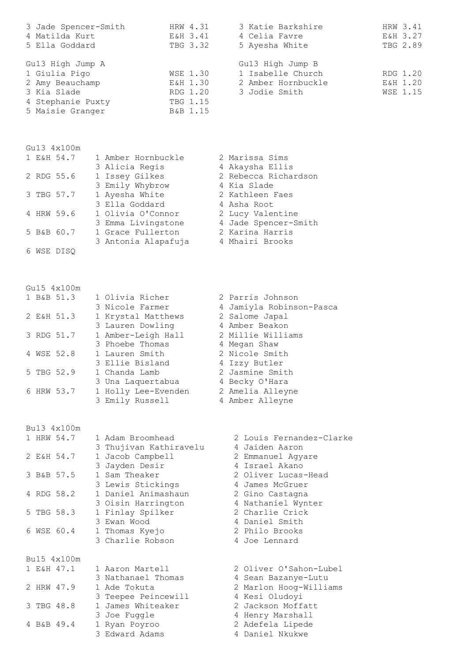| 3 Jade Spencer-Smith | HRW 4.31 | 3 Katie Barkshire  | HRW 3.41 |
|----------------------|----------|--------------------|----------|
| 4 Matilda Kurt       | E&H 3.41 | 4 Celia Favre      | E&H 3.27 |
| 5 Ella Goddard       | TBG 3.32 | 5 Ayesha White     | TBG 2.89 |
|                      |          |                    |          |
| Gu13 High Jump A     |          | Gu13 High Jump B   |          |
| 1 Giulia Pigo        | WSE 1.30 | 1 Isabelle Church  | RDG 1.20 |
| 2 Amy Beauchamp      | E&H 1.30 | 2 Amber Hornbuckle | E&H 1.20 |
| 3 Kia Slade          | RDG 1.20 | 3 Jodie Smith      | WSE 1.15 |
| 4 Stephanie Puxty    | TBG 1.15 |                    |          |
| 5 Maisie Granger     | B&B 1.15 |                    |          |

Gu13 4x100m

|  | 1 E&H 54.7 | 1 Amber Hornbuckle  | 2 Marissa Sims       |
|--|------------|---------------------|----------------------|
|  |            | 3 Alicia Regis      | 4 Akaysha Ellis      |
|  | 2 RDG 55.6 | 1 Issey Gilkes      | 2 Rebecca Richardson |
|  |            | 3 Emily Whybrow     | 4 Kia Slade          |
|  | 3 TBG 57.7 | 1 Ayesha White      | 2 Kathleen Faes      |
|  |            | 3 Ella Goddard      | 4 Asha Root          |
|  | 4 HRW 59.6 | 1 Olivia O'Connor   | 2 Lucy Valentine     |
|  |            | 3 Emma Livingstone  | 4 Jade Spencer-Smith |
|  | 5 B&B 60.7 | 1 Grace Fullerton   | 2 Karina Harris      |
|  |            | 3 Antonia Alapafuja | 4 Mhairi Brooks      |
|  | WSE DISO   |                     |                      |

## Gu15 4x100m

|  | 1 B&B 51.3 | 1 Olivia Richer     | 2 Parris Johnson         |
|--|------------|---------------------|--------------------------|
|  |            | 3 Nicole Farmer     | 4 Jamiyla Robinson-Pasca |
|  | 2 E&H 51.3 | 1 Krystal Matthews  | 2 Salome Japal           |
|  |            | 3 Lauren Dowling    | 4 Amber Beakon           |
|  | 3 RDG 51.7 | 1 Amber-Leigh Hall  | 2 Millie Williams        |
|  |            | 3 Phoebe Thomas     | 4 Megan Shaw             |
|  | 4 WSE 52.8 | 1 Lauren Smith      | 2 Nicole Smith           |
|  |            | 3 Ellie Bisland     | 4 Izzy Butler            |
|  | 5 TBG 52.9 | 1 Chanda Lamb       | 2 Jasmine Smith          |
|  |            | 3 Una Laquertabua   | 4 Becky O'Hara           |
|  | 6 HRW 53.7 | 1 Holly Lee-Evenden | 2 Amelia Alleyne         |
|  |            | 3 Emily Russell     | 4 Amber Alleyne          |

 Bu13 4x100m 1 HRW 54.7 1 Adam Broomhead 2 Louis Fernandez-Clarke<br>
3 Thujivan Kathiravelu<br>
2 E&H 54.7 1 Jacob Campbell 2 Emmanuel Agyare<br>
2 Emmanuel Agyare

|             | 3 Jayden Desir                  | 4 Israel Akano         |
|-------------|---------------------------------|------------------------|
| 3 B&B 57.5  | 1 Sam Theaker                   | 2 Oliver Lucas-Head    |
|             | 3 Lewis Stickings               | 4 James McGruer        |
| 4 RDG 58.2  | 1 Daniel Animashaun             | 2 Gino Castagna        |
|             | 3 Oisin Harrington              | 4 Nathaniel Wynter     |
| 5 TBG 58.3  | 1 Finlay Spilker                | 2 Charlie Crick        |
|             | 3 Ewan Wood                     | 4 Daniel Smith         |
| 6 WSE 60.4  | 1 Thomas Kyejo                  | 2 Philo Brooks         |
|             | 3 Charlie Robson                | 4 Joe Lennard          |
|             |                                 |                        |
|             |                                 |                        |
| Bu15 4x100m |                                 |                        |
| 1 E&H 47.1  | 1 Aaron Martell                 | 2 Oliver O'Sahon-Lubel |
|             | 3 Nathanael Thomas              | 4 Sean Bazanye-Lutu    |
| 2 HRW 47.9  | 1 Ade Tokuta                    | 2 Marlon Hoog-Williams |
|             | 3 Teepee Peincewill             | 4 Kesi Oludoyi         |
| 3 TBG 48.8  | James Whiteaker<br>$\mathbf{1}$ | 2 Jackson Moffatt      |
|             | 3 Joe Fuggle                    | 4 Henry Marshall       |
| 4 B&B 49.4  | 1 Ryan Poyroo                   | 2 Adefela Lipede       |

3 Thujivan Kathiravelu